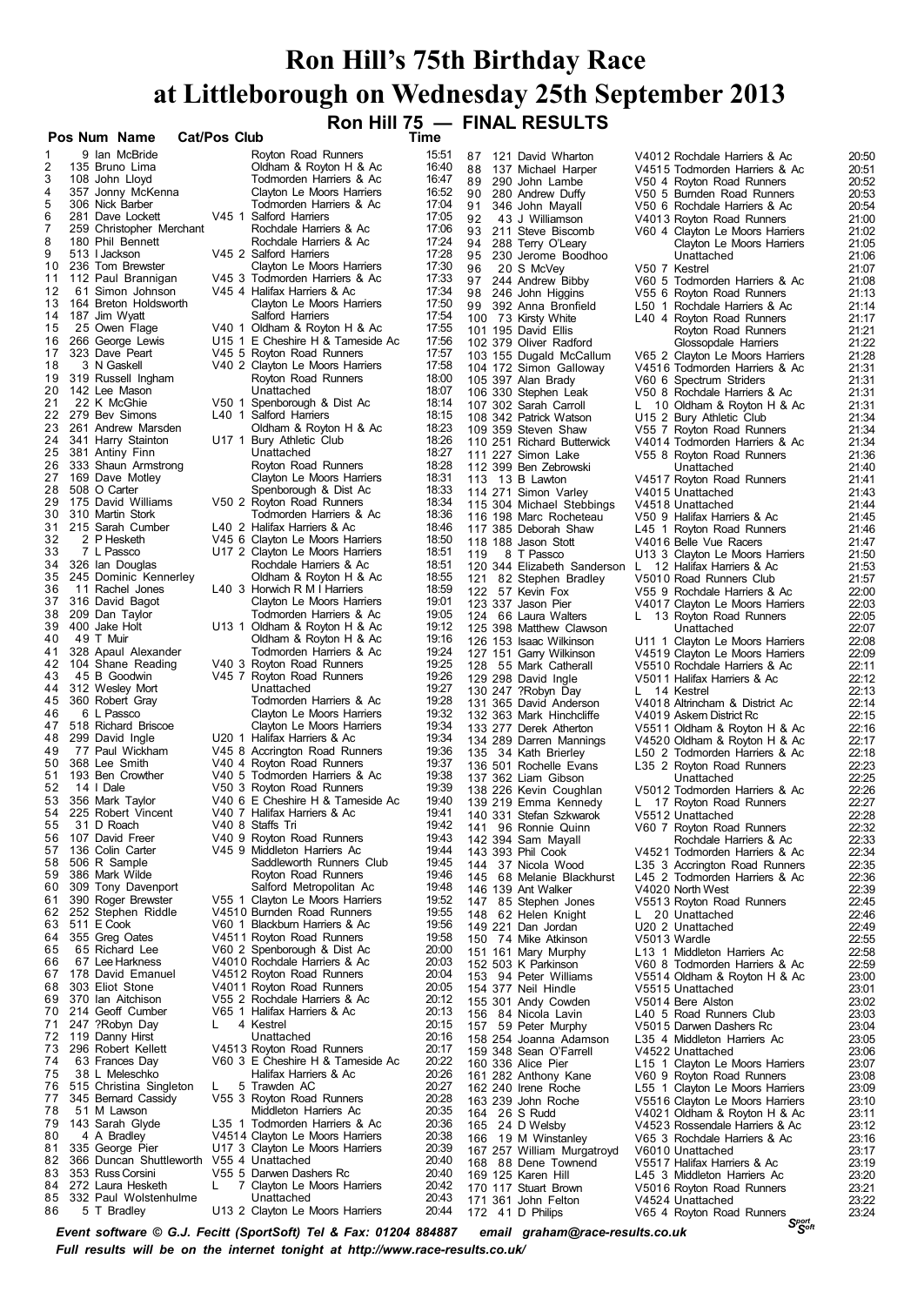## **Ron Hill's 75th Birthday Race at Littleborough on Wednesday 25th September 2013 Ron Hill 75 — FINAL RESULTS**

|          |                                          |                     |                                                              |                |               | $\overline{0}$ ron fill $\overline{0}$ $\overline{0}$ final results |    |                                                                |                |
|----------|------------------------------------------|---------------------|--------------------------------------------------------------|----------------|---------------|---------------------------------------------------------------------|----|----------------------------------------------------------------|----------------|
|          | Pos Num Name                             | <b>Cat/Pos Club</b> |                                                              | Time           |               |                                                                     |    |                                                                |                |
|          | 9 Ian McBride                            |                     | Royton Road Runners                                          | 15:51          |               | 87 121 David Wharton                                                |    | V4012 Rochdale Harriers & Ac                                   | 20:50          |
| 2        | 135 Bruno Lima                           |                     | Oldham & Royton H & Ac                                       | 16:40          | 88            | 137 Michael Harper                                                  |    | V4515 Todmorden Harriers & Ac                                  | 20:51          |
| 3<br>4   | 108 John Lloyd<br>357 Jonny McKenna      |                     | Todmorden Harriers & Ac<br>Clayton Le Moors Harriers         | 16:47<br>16:52 |               | 89 290 John Lambe                                                   |    | V50 4 Royton Road Runners                                      | 20:52          |
| 5        | 306 Nick Barber                          |                     | Todmorden Harriers & Ac                                      | 17:04          | 91            | 90 280 Andrew Duffy<br>346 John Mayall                              |    | V50 5 Bumden Road Runners<br>V50 6 Rochdale Harriers & Ac      | 20:53<br>20:54 |
| 6        | 281 Dave Lockett                         |                     | V45 1 Salford Harriers                                       | 17:05          | 92            | 43 J Williamson                                                     |    | V4013 Royton Road Runners                                      | 21:00          |
| 7        | 259 Christopher Merchant                 |                     | Rochdale Harriers & Ac                                       | 17:06          |               | 93 211 Steve Biscomb                                                |    | V60 4 Clayton Le Moors Harriers                                | 21:02          |
| 8        | 180 Phil Bennett                         |                     | Rochdale Harriers & Ac                                       | 17:24          |               | 94 288 Terry O'Leary                                                |    | Clayton Le Moors Harriers                                      | 21:05          |
| 9        | 513 I Jackson                            |                     | V45 2 Salford Harriers                                       | 17:28          |               | 95 230 Jerome Boodhoo                                               |    | Unattached                                                     | 21:06          |
| 10       | 236 Tom Brewster                         |                     | Clayton Le Moors Harriers                                    | 17:30          | 96            | 20 S McVey                                                          |    | V50 7 Kestrel                                                  | 21:07          |
| 11<br>12 | 112 Paul Brannigan<br>61 Simon Johnson   |                     | V45 3 Todmorden Harriers & Ac<br>V45 4 Halifax Harriers & Ac | 17:33<br>17:34 |               | 97 244 Andrew Bibby                                                 |    | V60 5 Todmorden Harriers & Ac                                  | 21:08          |
| 13       | 164 Breton Holdsworth                    |                     | Clayton Le Moors Harriers                                    | 17:50          |               | 98 246 John Higgins<br>99 392 Anna Bronfield                        |    | V55 6 Royton Road Runners<br>L50 1 Rochdale Harriers & Ac      | 21:13<br>21:14 |
| 14       | 187 Jim Wyatt                            |                     | Salford Harriers                                             | 17:54          |               | 100 73 Kirsty White                                                 |    | L40 4 Royton Road Runners                                      | 21:17          |
| 15       | 25 Owen Flage                            |                     | V40 1 Oldham & Royton H & Ac                                 | 17:55          |               | 101 195 David Ellis                                                 |    | Royton Road Runners                                            | 21:21          |
| 16       | 266 George Lewis                         |                     | U15 1 E Cheshire H & Tameside Ac                             | 17:56          |               | 102 379 Oliver Radford                                              |    | Glossopdale Harriers                                           | 21:22          |
| 17       | 323 Dave Peart                           |                     | V45 5 Royton Road Runners                                    | 17:57          |               | 103 155 Dugald McCallum                                             |    | V65 2 Clayton Le Moors Harriers                                | 21:28          |
| 18       | 3 N Gaskell                              |                     | V40 2 Clayton Le Moors Harriers                              | 17:58          |               | 104 172 Simon Galloway                                              |    | V4516 Todmorden Harriers & Ac                                  | 21:31          |
| 19<br>20 | 319 Russell Ingham<br>142 Lee Mason      |                     | Royton Road Runners<br>Unattached                            | 18:00<br>18:07 |               | 105 397 Alan Brady                                                  |    | V60 6 Spectrum Striders                                        | 21:31          |
| 21       | 22 K McGhie                              |                     | V50 1 Spenborough & Dist Ac                                  | 18:14          |               | 106 330 Stephen Leak<br>107 302 Sarah Carroll                       |    | V50 8 Rochdale Harriers & Ac                                   | 21:31<br>21:31 |
| 22       | 279 Bev Simons                           |                     | L40 1 Salford Harriers                                       | 18:15          |               | 108 342 Patrick Watson                                              |    | $L$ 10 Oldham & Royton H & Ac<br>U15 2 Bury Athletic Club      | 21:34          |
| 23       | 261 Andrew Marsden                       |                     | Oldham & Royton H & Ac                                       | 18:23          |               | 109 359 Steven Shaw                                                 |    | V55 7 Royton Road Runners                                      | 21:34          |
| 24       | 341 Harry Stainton                       |                     | U17 1 Bury Athletic Club                                     | 18:26          |               | 110 251 Richard Butterwick                                          |    | V4014 Todmorden Harriers & Ac                                  | 21:34          |
| 25       | 381 Antiny Finn                          |                     | Unattached                                                   | 18:27          |               | 111 227 Simon Lake                                                  |    | V55 8 Royton Road Runners                                      | 21:36          |
| 26       | 333 Shaun Armstrong                      |                     | Royton Road Runners                                          | 18:28          |               | 112 399 Ben Zebrowski                                               |    | Unattached                                                     | 21:40          |
| 27       | 169 Dave Motley                          |                     | Clayton Le Moors Harriers                                    | 18:31          |               | 113 13 B Lawton                                                     |    | V4517 Royton Road Runners                                      | 21:41          |
| 28<br>29 | 508 O Carter<br>175 David Williams       |                     | Spenborough & Dist Ac<br>V50 2 Royton Road Runners           | 18:33<br>18:34 |               | 114 271 Simon Varley                                                |    | V4015 Unattached                                               | 21:43          |
| 30       | 310 Martin Stork                         |                     | Todmorden Harriers & Ac                                      | 18:36          |               | 115 304 Michael Stebbings                                           |    | V4518 Unattached                                               | 21:44          |
| 31       | 215 Sarah Cumber                         |                     | L40 2 Halifax Harriers & Ac                                  | 18:46          |               | 116 198 Marc Rocheteau<br>117 385 Deborah Shaw                      |    | V50 9 Halifax Harriers & Ac<br>L45 1 Royton Road Runners       | 21:45<br>21:46 |
| 32       | 2 P Hesketh                              |                     | V45 6 Clayton Le Moors Harriers                              | 18:50          |               | 118 188 Jason Stott                                                 |    | V4016 Belle Vue Racers                                         | 21:47          |
| 33       | 7 L Passco                               |                     | U17 2 Clayton Le Moors Harriers                              | 18:51          | 119           | 8 T Passco                                                          |    | U13 3 Clayton Le Moors Harriers                                | 21:50          |
| 34       | 326 Ian Douglas                          |                     | Rochdale Harriers & Ac                                       | 18:51          |               | 120 344 Elizabeth Sanderson L                                       |    | 12 Halifax Harriers & Ac                                       | 21:53          |
| 35       | 245 Dominic Kennerley                    |                     | Oldham & Royton H & Ac                                       | 18:55          |               | 121 82 Stephen Bradley                                              |    | V5010 Road Runners Club                                        | 21:57          |
| 36       | 11 Rachel Jones                          |                     | L40 3 Horwich R M I Harriers                                 | 18:59          |               | 122 57 Kevin Fox                                                    |    | V55 9 Rochdale Harriers & Ac                                   | 22:00          |
| 37<br>38 | 316 David Bagot                          |                     | Clayton Le Moors Harriers                                    | 19:01<br>19:05 |               | 123 337 Jason Pier                                                  |    | V4017 Clayton Le Moors Harriers                                | 22:03          |
| 39       | 209 Dan Taylor<br>400 Jake Holt          |                     | Todmorden Harriers & Ac<br>U13 1 Oldham & Royton H & Ac      | 19:12          |               | 124 66 Laura Walters                                                |    | L 13 Royton Road Runners                                       | 22:05          |
| 40       | 49 T Muir                                |                     | Oldham & Royton H & Ac                                       | 19:16          |               | 125 398 Matthew Clawson<br>126 153 Isaac Wilkinson                  |    | Unattached<br>U11 1 Clayton Le Moors Harriers                  | 22:07<br>22:08 |
| 41       | 328 Apaul Alexander                      |                     | Todmorden Harriers & Ac                                      | 19:24          |               | 127 151 Garry Wilkinson                                             |    | V4519 Clayton Le Moors Harriers                                | 22:09          |
| 42       | 104 Shane Reading                        |                     | V40 3 Royton Road Runners                                    | 19:25          |               | 128 55 Mark Catherall                                               |    | V5510 Rochdale Harriers & Ac                                   | 22:11          |
| 43       | 45 B Goodwin                             |                     | V45 7 Royton Road Runners                                    | 19:26          |               | 129 298 David Ingle                                                 |    | V5011 Halifax Harriers & Ac                                    | 22:12          |
| 44       | 312 Wesley Mort                          |                     | Unattached                                                   | 19:27          |               | 130 247 ?Robyn Day                                                  |    | L 14 Kestrel                                                   | 22:13          |
| 45       | 360 Robert Gray                          |                     | Todmorden Harriers & Ac                                      | 19:28          |               | 131 365 David Anderson                                              |    | V4018 Altrincham & District Ac                                 | 22:14          |
| 46       | 6 L Passco                               |                     | Clayton Le Moors Harriers                                    | 19:32          |               | 132 363 Mark Hinchcliffe                                            |    | V4019 Askem District Rc                                        | 22:15          |
| 47<br>48 | 518 Richard Briscoe<br>299 David Ingle   |                     | Clayton Le Moors Harriers<br>U20 1 Halifax Harriers & Ac     | 19:34<br>19:34 |               | 133 277 Derek Atherton                                              |    | V5511 Oldham & Royton H & Ac                                   | 22:16          |
| 49       | 77 Paul Wickham                          |                     | V45 8 Accrington Road Runners                                | 19:36          |               | 134 289 Darren Mannings<br>135 34 Kath Brierley                     |    | V4520 Oldham & Royton H & Ac<br>L50 2 Todmorden Harriers & Ac  | 22:17<br>22:18 |
| 50       | 368 Lee Smith                            |                     | V40 4 Royton Road Runners                                    | 19:37          |               | 136 501 Rochelle Evans                                              |    | L35 2 Royton Road Runners                                      | 22:23          |
| 51       | 193 Ben Crowther                         |                     | V40 5 Todmorden Harriers & Ac                                | 19:38          |               | 137 362 Liam Gibson                                                 |    | Unattached                                                     | 22:25          |
| 52       | 14   Dale                                |                     | V50 3 Royton Road Runners                                    | 19:39          |               | 138 226 Kevin Coughlan                                              |    | V5012 Todmorden Harriers & Ac                                  | 22:26          |
| 53       | 356 Mark Taylor                          |                     | V40 6 E Cheshire H & Tameside Ac                             | 19:40          |               | 139 219 Emma Kennedy                                                |    | L 17 Royton Road Runners                                       | 22:27          |
|          | 54 225 Robert Vincent                    |                     | V40 7 Halifax Harriers & Ac                                  | 19:41          |               | 140 331 Stefan Szkwarok                                             |    | V5512 Unattached                                               | 22:28          |
| 55       | 31 D Roach                               |                     | V40 8 Staffs Tri                                             | 19:42          | 141           | 96 Ronnie Quinn                                                     |    | V60 7 Royton Road Runners                                      | 22:32          |
| 56<br>57 | 107 David Freer<br>136 Colin Carter      |                     | V40 9 Royton Road Runners<br>V45 9 Middleton Harriers Ac     | 19:43<br>19:44 |               | 142 394 Sam Mayall                                                  |    | Rochdale Harriers & Ac                                         | 22:33          |
| 58       | 506 R Sample                             |                     | Saddleworth Runners Club                                     | 19:45          | 144           | 143 393 Phil Cook<br>37 Nicola Wood                                 |    | V4521 Todmorden Harriers & Ac<br>L35 3 Accrington Road Runners | 22:34<br>22:35 |
| 59       | 386 Mark Wilde                           |                     | Royton Road Runners                                          | 19:46          | 145           | 68 Melanie Blackhurst                                               |    | L45 2 Todmorden Harriers & Ac                                  | 22:36          |
| 60       | 309 Tony Davenport                       |                     | Salford Metropolitan Ac                                      | 19:48          |               | 146 139 Ant Walker                                                  |    | V4020 North West                                               | 22:39          |
| 61       | 390 Roger Brewster                       |                     | V55 1 Clayton Le Moors Harriers                              | 19:52          |               | 147 85 Stephen Jones                                                |    | V5513 Royton Road Runners                                      | 22:45          |
| 62       | 252 Stephen Riddle                       |                     | V4510 Burnden Road Runners                                   | 19:55          | 148           | 62 Helen Knight                                                     | L. | 20 Unattached                                                  | 22:46          |
| 63       | 511 E Cook                               |                     | V60 1 Blackbum Harriers & Ac                                 | 19:56          |               | 149 221 Dan Jordan                                                  |    | U20 2 Unattached                                               | 22:49          |
| 64       | 355 Greg Oates<br>65 Richard Lee         |                     | V4511 Royton Road Runners                                    | 19:58          |               | 150 74 Mike Atkinson                                                |    | V5013 Wardle                                                   | 22:55          |
| 65<br>66 | 67 Lee Harkness                          |                     | V60 2 Spenborough & Dist Ac<br>V4010 Rochdale Harriers & Ac  | 20:00<br>20:03 |               | 151 161 Mary Murphy                                                 |    | L13 1 Middleton Harriers Ac                                    | 22:58          |
| 67       | 178 David Emanuel                        |                     | V4512 Royton Road Runners                                    | 20:04          |               | 152 503 K Parkinson<br>153 94 Peter Williams                        |    | V60 8 Todmorden Harriers & Ac<br>V5514 Oldham & Royton H & Ac  | 22:59<br>23:00 |
| 68       | 303 Eliot Stone                          |                     | V4011 Royton Road Runners                                    | 20:05          |               | 154 377 Neil Hindle                                                 |    | V5515 Unattached                                               | 23:01          |
| 69       | 370 Ian Aitchison                        |                     | V55 2 Rochdale Harriers & Ac                                 | 20:12          |               | 155 301 Andy Cowden                                                 |    | V5014 Bere Alston                                              | 23:02          |
| 70       | 214 Geoff Cumber                         |                     | V65 1 Halifax Harriers & Ac                                  | 20:13          | 156           | 84 Nicola Lavin                                                     |    | L40 5 Road Runners Club                                        | 23:03          |
| 71       | 247 ?Robyn Day                           |                     | 4 Kestrel                                                    | 20:15          | 157           | 59 Peter Murphy                                                     |    | V5015 Darwen Dashers Rc                                        | 23:04          |
| 72       | 119 Danny Hirst                          |                     | Unattached                                                   | 20:16          |               | 158 254 Joanna Adamson                                              |    | L35 4 Middleton Harriers Ac                                    | 23:05          |
| 73       | 296 Robert Kellett                       |                     | V4513 Royton Road Runners                                    | 20:17          |               | 159 348 Sean O'Farrell                                              |    | V4522 Unattached                                               | 23:06          |
| 74<br>75 | 63 Frances Day<br>38 L Meleschko         |                     | V60 3 E Cheshire H & Tameside Ac<br>Halifax Harriers & Ac    | 20:22<br>20:26 |               | 160 336 Alice Pier                                                  |    | L15 1 Clayton Le Moors Harriers                                | 23:07          |
| 76       | 515 Christina Singleton                  | L                   | 5 Trawden AC                                                 | 20:27          |               | 161 282 Anthony Kane<br>162 240 Irene Roche                         |    | V60 9 Royton Road Runners<br>L55 1 Clayton Le Moors Harriers   | 23:08<br>23:09 |
| 77       | 345 Bernard Cassidy                      |                     | V55 3 Royton Road Runners                                    | 20:28          |               | 163 239 John Roche                                                  |    | V5516 Clayton Le Moors Harriers                                | 23:10          |
| 78       | 51 M Lawson                              |                     | Middleton Harriers Ac                                        | 20:35          | 164 26 S Rudd |                                                                     |    | V4021 Oldham & Royton H & Ac                                   | 23:11          |
| 79       | 143 Sarah Glyde                          |                     | L35 1 Todmorden Harriers & Ac                                | 20:36          |               | 165 24 D Welsby                                                     |    | V4523 Rossendale Harriers & Ac                                 | 23:12          |
| 80       | 4 A Bradley                              |                     | V4514 Clayton Le Moors Harriers                              | 20:38          |               | 166 19 M Winstanley                                                 |    | V65 3 Rochdale Harriers & Ac                                   | 23:16          |
| 81       | 335 George Pier                          |                     | U17 3 Clayton Le Moors Harriers                              | 20:39          |               | 167 257 William Murgatroyd                                          |    | V6010 Unattached                                               | 23:17          |
| 82       | 366 Duncan Shuttleworth V55 4 Unattached |                     |                                                              | 20:40          |               | 168 88 Dene Townend                                                 |    | V5517 Halifax Harriers & Ac                                    | 23:19          |
| 83<br>84 | 353 Russ Corsini<br>272 Laura Hesketh    | L                   | V55 5 Darwen Dashers Rc<br>7 Clayton Le Moors Harriers       | 20:40<br>20:42 |               | 169 125 Karen Hill                                                  |    | L45 3 Middleton Harriers Ac                                    | 23:20          |
| 85       | 332 Paul Wolstenhulme                    |                     | Unattached                                                   | 20:43          |               | 170 117 Stuart Brown<br>171 361 John Felton                         |    | V5016 Royton Road Runners<br>V4524 Unattached                  | 23:21<br>23:22 |
| 86       | 5 T Bradley                              |                     | U13 2 Clayton Le Moors Harriers                              | 20:44          |               | 172 41 D Philips                                                    |    | V65 4 Royton Road Runners                                      | 23:24          |

 *Soft Event software © G.J. Fecitt (SportSoft) Tel & Fax: 01204 884887 email graham@race-results.co.uk Full results will be on the internet tonight at http://www.race-results.co.uk/*

*Sport*